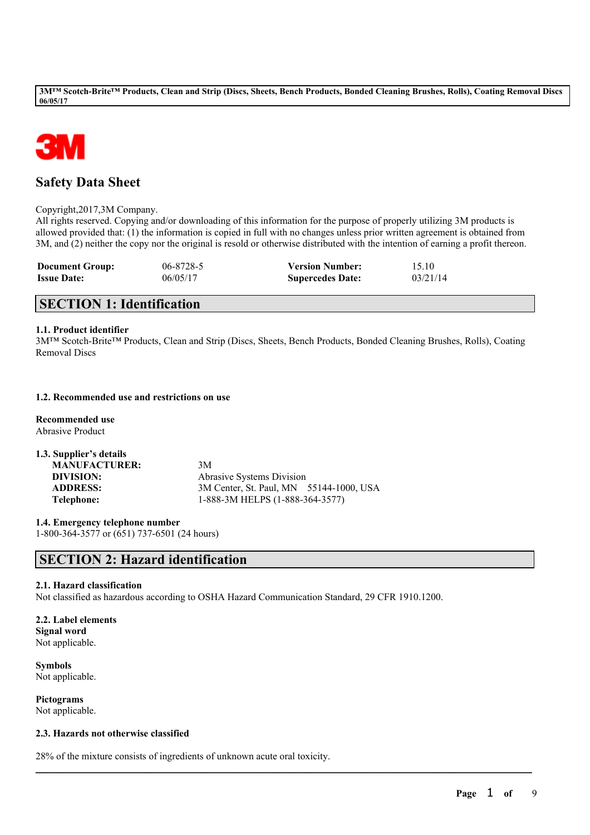

## **Safety Data Sheet**

Copyright,2017,3M Company.

All rights reserved. Copying and/or downloading of this information for the purpose of properly utilizing 3M products is allowed provided that: (1) the information is copied in full with no changes unless prior written agreement is obtained from 3M, and (2) neither the copy nor the original is resold or otherwise distributed with the intention of earning a profit thereon.

| <b>Document Group:</b> | 06-8728-5 | <b>Version Number:</b>  | 15.10    |
|------------------------|-----------|-------------------------|----------|
| <b>Issue Date:</b>     | 06/05/17  | <b>Supercedes Date:</b> | 03/21/14 |

## **SECTION 1: Identification**

## **1.1. Product identifier**

3M™ Scotch-Brite™ Products, Clean and Strip (Discs, Sheets, Bench Products, Bonded Cleaning Brushes, Rolls), Coating Removal Discs

## **1.2. Recommended use and restrictions on use**

**Recommended use** Abrasive Product

| 1.3. Supplier's details |                                         |
|-------------------------|-----------------------------------------|
| <b>MANUFACTURER:</b>    | 3M                                      |
| DIVISION:               | <b>Abrasive Systems Division</b>        |
| <b>ADDRESS:</b>         | 3M Center, St. Paul, MN 55144-1000, USA |
| Telephone:              | 1-888-3M HELPS (1-888-364-3577)         |

**1.4. Emergency telephone number** 1-800-364-3577 or (651) 737-6501 (24 hours)

## **SECTION 2: Hazard identification**

## **2.1. Hazard classification**

Not classified as hazardous according to OSHA Hazard Communication Standard, 29 CFR 1910.1200.

 $\mathcal{L}_\mathcal{L} = \mathcal{L}_\mathcal{L} = \mathcal{L}_\mathcal{L} = \mathcal{L}_\mathcal{L} = \mathcal{L}_\mathcal{L} = \mathcal{L}_\mathcal{L} = \mathcal{L}_\mathcal{L} = \mathcal{L}_\mathcal{L} = \mathcal{L}_\mathcal{L} = \mathcal{L}_\mathcal{L} = \mathcal{L}_\mathcal{L} = \mathcal{L}_\mathcal{L} = \mathcal{L}_\mathcal{L} = \mathcal{L}_\mathcal{L} = \mathcal{L}_\mathcal{L} = \mathcal{L}_\mathcal{L} = \mathcal{L}_\mathcal{L}$ 

## **2.2. Label elements**

**Signal word** Not applicable.

**Symbols** Not applicable.

**Pictograms** Not applicable.

## **2.3. Hazards not otherwise classified**

28% of the mixture consists of ingredients of unknown acute oral toxicity.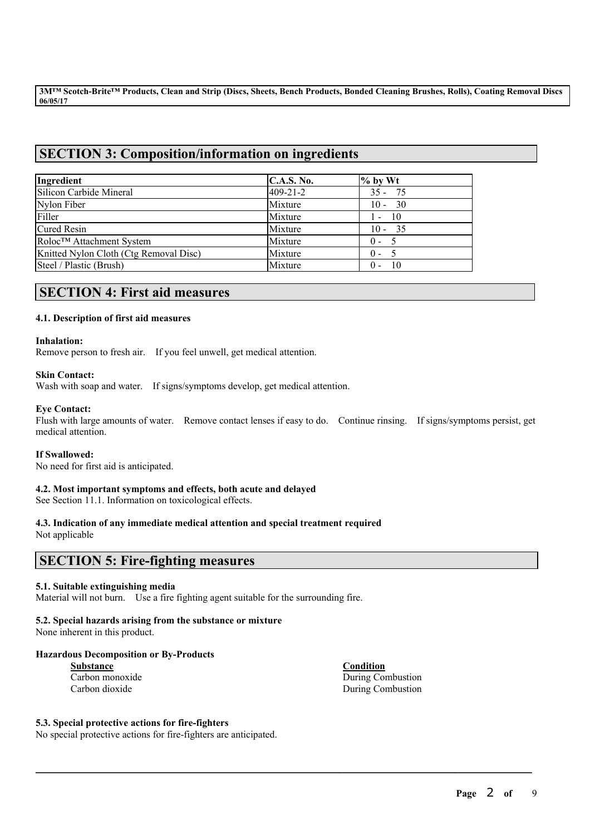## **SECTION 3: Composition/information on ingredients**

| Ingredient                             | <b>C.A.S. No.</b> | $%$ by Wt     |
|----------------------------------------|-------------------|---------------|
| Silicon Carbide Mineral                | 409-21-2          | $35 - 75$     |
| Nylon Fiber                            | Mixture           | $10 - 30$     |
| Filler                                 | Mixture           | $1 - 10$      |
| Cured Resin                            | Mixture           | $10 - 35$     |
| Roloc™ Attachment System               | Mixture           | $0 - 5$       |
| Knitted Nylon Cloth (Ctg Removal Disc) | Mixture           | $0 - 5$       |
| Steel / Plastic (Brush)                | Mixture           | - 10<br>$0 -$ |

## **SECTION 4: First aid measures**

## **4.1. Description of first aid measures**

#### **Inhalation:**

Remove person to fresh air. If you feel unwell, get medical attention.

## **Skin Contact:**

Wash with soap and water. If signs/symptoms develop, get medical attention.

## **Eye Contact:**

Flush with large amounts of water. Remove contact lenses if easy to do. Continue rinsing. If signs/symptoms persist, get medical attention.

 $\mathcal{L}_\mathcal{L} = \mathcal{L}_\mathcal{L} = \mathcal{L}_\mathcal{L} = \mathcal{L}_\mathcal{L} = \mathcal{L}_\mathcal{L} = \mathcal{L}_\mathcal{L} = \mathcal{L}_\mathcal{L} = \mathcal{L}_\mathcal{L} = \mathcal{L}_\mathcal{L} = \mathcal{L}_\mathcal{L} = \mathcal{L}_\mathcal{L} = \mathcal{L}_\mathcal{L} = \mathcal{L}_\mathcal{L} = \mathcal{L}_\mathcal{L} = \mathcal{L}_\mathcal{L} = \mathcal{L}_\mathcal{L} = \mathcal{L}_\mathcal{L}$ 

## **If Swallowed:**

No need for first aid is anticipated.

## **4.2. Most important symptoms and effects, both acute and delayed**

See Section 11.1. Information on toxicological effects.

## **4.3. Indication of any immediate medical attention and special treatment required**

Not applicable

## **SECTION 5: Fire-fighting measures**

## **5.1. Suitable extinguishing media**

Material will not burn. Use a fire fighting agent suitable for the surrounding fire.

## **5.2. Special hazards arising from the substance or mixture**

None inherent in this product.

## **Hazardous Decomposition or By-Products**

| Substance       |
|-----------------|
| Carbon monoxide |
| Carbon dioxide  |

**Condition** During Combustion

During Combustion

## **5.3. Special protective actions for fire-fighters**

No special protective actions for fire-fighters are anticipated.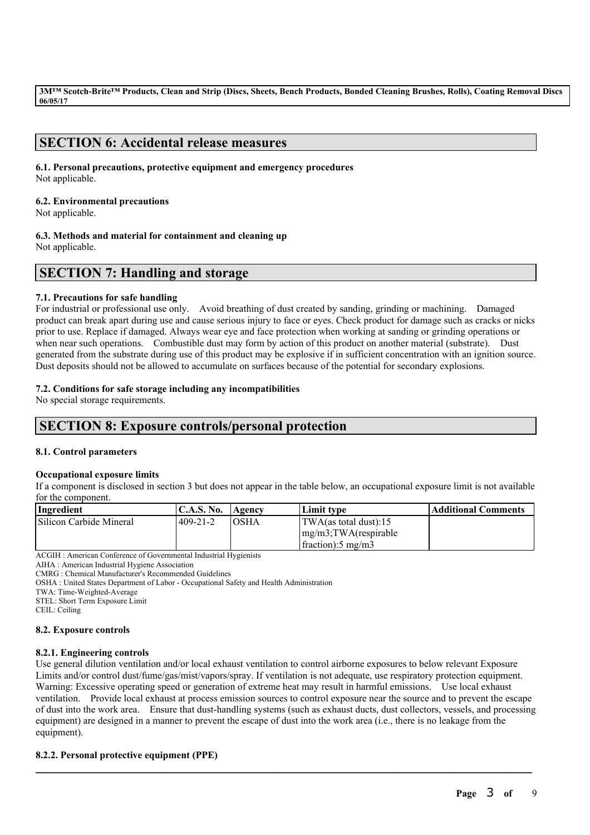## **SECTION 6: Accidental release measures**

## **6.1. Personal precautions, protective equipment and emergency procedures** Not applicable.

## **6.2. Environmental precautions**

Not applicable.

**6.3. Methods and material for containment and cleaning up**

Not applicable.

## **SECTION 7: Handling and storage**

## **7.1. Precautions for safe handling**

For industrial or professional use only. Avoid breathing of dust created by sanding, grinding or machining. Damaged product can break apart during use and cause serious injury to face or eyes. Check product for damage such as cracks or nicks prior to use. Replace if damaged. Always wear eye and face protection when working at sanding or grinding operations or when near such operations. Combustible dust may form by action of this product on another material (substrate). Dust generated from the substrate during use of this product may be explosive if in sufficient concentration with an ignition source. Dust deposits should not be allowed to accumulate on surfaces because of the potential for secondary explosions.

## **7.2. Conditions for safe storage including any incompatibilities**

No special storage requirements.

## **SECTION 8: Exposure controls/personal protection**

## **8.1. Control parameters**

## **Occupational exposure limits**

If a component is disclosed in section 3 but does not appear in the table below, an occupational exposure limit is not available for the component.

| Ingredient              | <b>C.A.S. No.</b> | <b>Agency</b> | Limit tvpe                     | Additional Comments |
|-------------------------|-------------------|---------------|--------------------------------|---------------------|
| Silicon Carbide Mineral | $409 - 21 - 2$    | <b>IOSHA</b>  | $ TWA$ (as total dust):15      |                     |
|                         |                   |               | $\{mg/m3;TWA$ (respirable      |                     |
|                         |                   |               | $frac{1}{2}$ fraction: 5 mg/m3 |                     |

ACGIH : American Conference of Governmental Industrial Hygienists

AIHA : American Industrial Hygiene Association

CMRG : Chemical Manufacturer's Recommended Guidelines

OSHA : United States Department of Labor - Occupational Safety and Health Administration

TWA: Time-Weighted-Average

STEL: Short Term Exposure Limit

CEIL: Ceiling

## **8.2. Exposure controls**

## **8.2.1. Engineering controls**

Use general dilution ventilation and/or local exhaust ventilation to control airborne exposures to below relevant Exposure Limits and/or control dust/fume/gas/mist/vapors/spray. If ventilation is not adequate, use respiratory protection equipment. Warning: Excessive operating speed or generation of extreme heat may result in harmful emissions. Use local exhaust ventilation. Provide local exhaust at process emission sources to control exposure near the source and to prevent the escape of dust into the work area. Ensure that dust-handling systems (such as exhaust ducts, dust collectors, vessels, and processing equipment) are designed in a manner to prevent the escape of dust into the work area (i.e., there is no leakage from the equipment).

 $\mathcal{L}_\mathcal{L} = \mathcal{L}_\mathcal{L} = \mathcal{L}_\mathcal{L} = \mathcal{L}_\mathcal{L} = \mathcal{L}_\mathcal{L} = \mathcal{L}_\mathcal{L} = \mathcal{L}_\mathcal{L} = \mathcal{L}_\mathcal{L} = \mathcal{L}_\mathcal{L} = \mathcal{L}_\mathcal{L} = \mathcal{L}_\mathcal{L} = \mathcal{L}_\mathcal{L} = \mathcal{L}_\mathcal{L} = \mathcal{L}_\mathcal{L} = \mathcal{L}_\mathcal{L} = \mathcal{L}_\mathcal{L} = \mathcal{L}_\mathcal{L}$ 

## **8.2.2. Personal protective equipment (PPE)**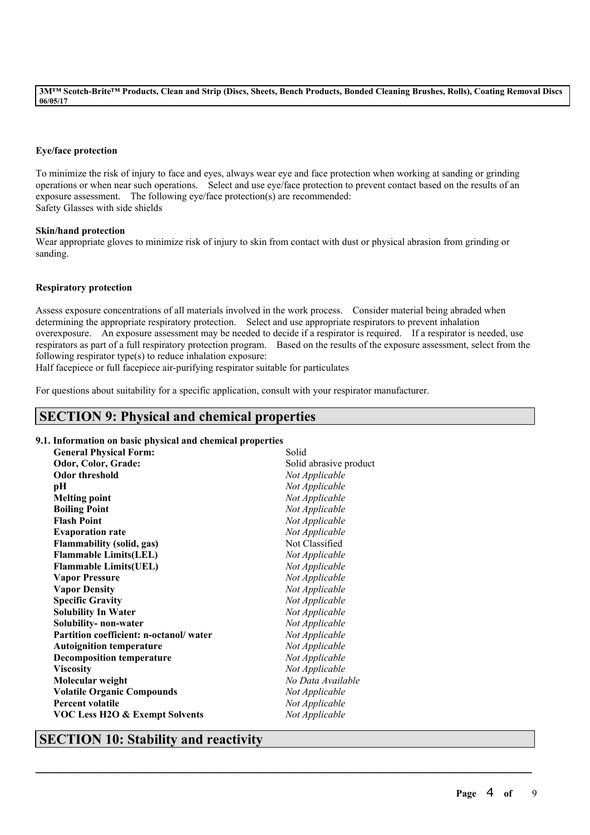## **Eye/face protection**

To minimize the risk of injury to face and eyes, always wear eye and face protection when working at sanding or grinding operations or when near such operations. Select and use eye/face protection to prevent contact based on the results of an exposure assessment. The following eye/face protection(s) are recommended: Safety Glasses with side shields

#### **Skin/hand protection**

Wear appropriate gloves to minimize risk of injury to skin from contact with dust or physical abrasion from grinding or sanding.

## **Respiratory protection**

Assess exposure concentrations of all materials involved in the work process. Consider material being abraded when determining the appropriate respiratory protection. Select and use appropriate respirators to prevent inhalation overexposure. An exposure assessment may be needed to decide if a respirator is required. If a respirator is needed, use respirators as part of a full respiratory protection program. Based on the results of the exposure assessment, select from the following respirator type(s) to reduce inhalation exposure:

 $\mathcal{L}_\mathcal{L} = \mathcal{L}_\mathcal{L} = \mathcal{L}_\mathcal{L} = \mathcal{L}_\mathcal{L} = \mathcal{L}_\mathcal{L} = \mathcal{L}_\mathcal{L} = \mathcal{L}_\mathcal{L} = \mathcal{L}_\mathcal{L} = \mathcal{L}_\mathcal{L} = \mathcal{L}_\mathcal{L} = \mathcal{L}_\mathcal{L} = \mathcal{L}_\mathcal{L} = \mathcal{L}_\mathcal{L} = \mathcal{L}_\mathcal{L} = \mathcal{L}_\mathcal{L} = \mathcal{L}_\mathcal{L} = \mathcal{L}_\mathcal{L}$ 

Half facepiece or full facepiece air-purifying respirator suitable for particulates

For questions about suitability for a specific application, consult with your respirator manufacturer.

## **SECTION 9: Physical and chemical properties**

## **9.1. Information on basic physical and chemical properties**

| <b>General Physical Form:</b>             | Solid                  |
|-------------------------------------------|------------------------|
| Odor, Color, Grade:                       | Solid abrasive product |
| <b>Odor threshold</b>                     | Not Applicable         |
| pН                                        | Not Applicable         |
| <b>Melting point</b>                      | Not Applicable         |
| <b>Boiling Point</b>                      | Not Applicable         |
| <b>Flash Point</b>                        | Not Applicable         |
| <b>Evaporation rate</b>                   | Not Applicable         |
| <b>Flammability (solid, gas)</b>          | Not Classified         |
| <b>Flammable Limits(LEL)</b>              | Not Applicable         |
| <b>Flammable Limits(UEL)</b>              | Not Applicable         |
| <b>Vapor Pressure</b>                     | Not Applicable         |
| <b>Vapor Density</b>                      | Not Applicable         |
| <b>Specific Gravity</b>                   | Not Applicable         |
| <b>Solubility In Water</b>                | Not Applicable         |
| Solubility-non-water                      | Not Applicable         |
| Partition coefficient: n-octanol/water    | Not Applicable         |
| <b>Autoignition temperature</b>           | Not Applicable         |
| <b>Decomposition temperature</b>          | Not Applicable         |
| <b>Viscosity</b>                          | Not Applicable         |
| Molecular weight                          | No Data Available      |
| <b>Volatile Organic Compounds</b>         | Not Applicable         |
| <b>Percent volatile</b>                   | Not Applicable         |
| <b>VOC Less H2O &amp; Exempt Solvents</b> | Not Applicable         |

## **SECTION 10: Stability and reactivity**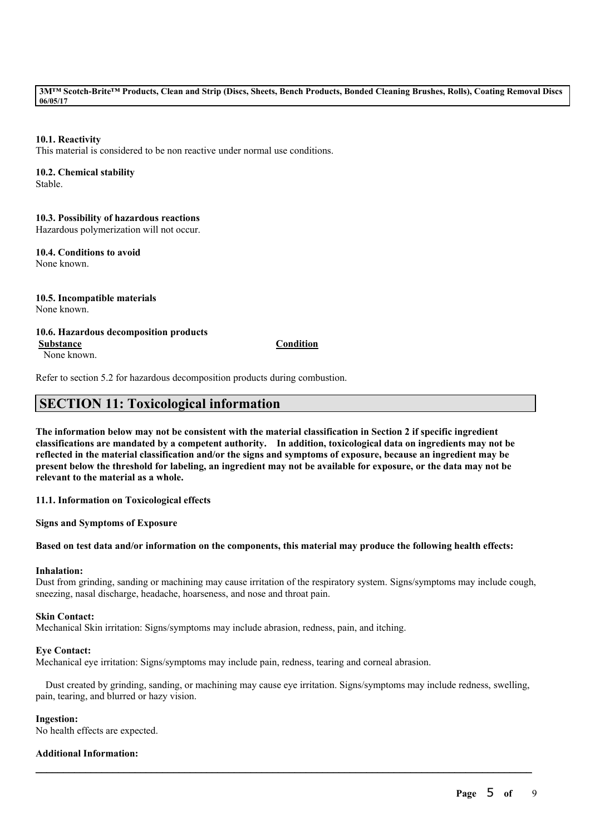## **10.1. Reactivity**

This material is considered to be non reactive under normal use conditions.

## **10.2. Chemical stability**

Stable.

**10.3. Possibility of hazardous reactions** Hazardous polymerization will not occur.

**10.4. Conditions to avoid** None known.

**10.5. Incompatible materials** None known.

**10.6. Hazardous decomposition products**

None known.

#### **Substance Condition**

Refer to section 5.2 for hazardous decomposition products during combustion.

## **SECTION 11: Toxicological information**

The information below may not be consistent with the material classification in Section 2 if specific ingredient **classifications are mandated by a competent authority. In addition, toxicological data on ingredients may not be** reflected in the material classification and/or the signs and symptoms of exposure, because an ingredient may be present below the threshold for labeling, an ingredient may not be available for exposure, or the data may not be **relevant to the material as a whole.**

**11.1. Information on Toxicological effects**

**Signs and Symptoms of Exposure**

#### Based on test data and/or information on the components, this material may produce the following health effects:

#### **Inhalation:**

Dust from grinding, sanding or machining may cause irritation of the respiratory system. Signs/symptoms may include cough, sneezing, nasal discharge, headache, hoarseness, and nose and throat pain.

#### **Skin Contact:**

Mechanical Skin irritation: Signs/symptoms may include abrasion, redness, pain, and itching.

#### **Eye Contact:**

Mechanical eye irritation: Signs/symptoms may include pain, redness, tearing and corneal abrasion.

Dust created by grinding, sanding, or machining may cause eye irritation. Signs/symptoms may include redness, swelling, pain, tearing, and blurred or hazy vision.

 $\mathcal{L}_\mathcal{L} = \mathcal{L}_\mathcal{L} = \mathcal{L}_\mathcal{L} = \mathcal{L}_\mathcal{L} = \mathcal{L}_\mathcal{L} = \mathcal{L}_\mathcal{L} = \mathcal{L}_\mathcal{L} = \mathcal{L}_\mathcal{L} = \mathcal{L}_\mathcal{L} = \mathcal{L}_\mathcal{L} = \mathcal{L}_\mathcal{L} = \mathcal{L}_\mathcal{L} = \mathcal{L}_\mathcal{L} = \mathcal{L}_\mathcal{L} = \mathcal{L}_\mathcal{L} = \mathcal{L}_\mathcal{L} = \mathcal{L}_\mathcal{L}$ 

#### **Ingestion:**

No health effects are expected.

## **Additional Information:**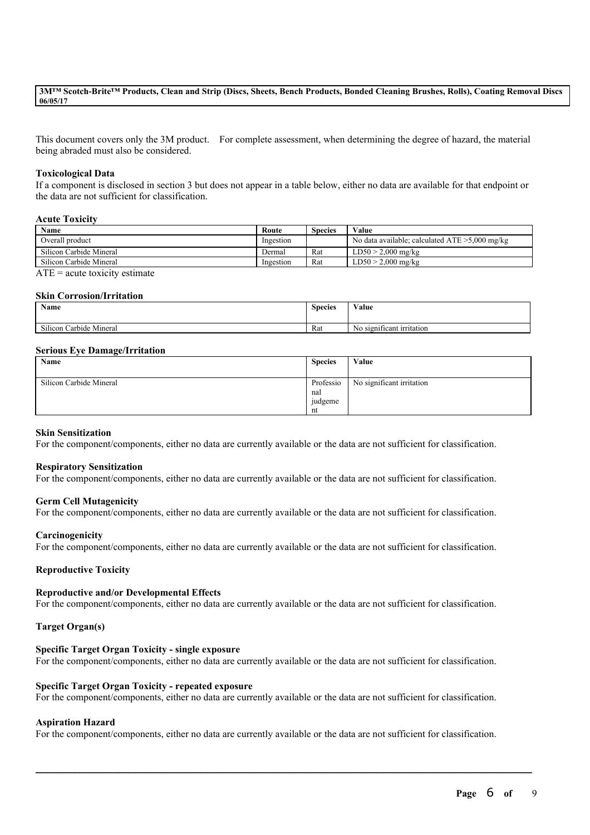This document covers only the 3M product. For complete assessment, when determining the degree of hazard, the material being abraded must also be considered.

#### **Toxicological Data**

If a component is disclosed in section 3 but does not appear in a table below, either no data are available for that endpoint or the data are not sufficient for classification.

#### **Acute Toxicity**

| Name                                                                                                                          | Route     | <b>Species</b> | Value                                             |
|-------------------------------------------------------------------------------------------------------------------------------|-----------|----------------|---------------------------------------------------|
| Overall product                                                                                                               | Ingestion |                | No data available; calculated $ATE > 5,000$ mg/kg |
| Silicon Carbide Mineral                                                                                                       | Dermal    | Rat            | $LD50 > 2,000$ mg/kg                              |
| Silicon Carbide Mineral                                                                                                       | Ingestion | Rat            | $LD50 > 2,000$ mg/kg                              |
| $\sqrt{2}$<br>the contract of the contract of the contract of the contract of the contract of the contract of the contract of |           |                |                                                   |

 $ATE = acute$  toxicity estimate

#### **Skin Corrosion/Irritation**

| Name                    | <b>Species</b> | <b>WY 3</b><br>Value             |
|-------------------------|----------------|----------------------------------|
| Silicon Carbide Mineral | Rat            | . .<br>No significant irritation |

#### **Serious Eye Damage/Irritation**

| Name                    | <b>Species</b>                    | Value                     |
|-------------------------|-----------------------------------|---------------------------|
| Silicon Carbide Mineral | Professio<br>nal<br>judgeme<br>nt | No significant irritation |

#### **Skin Sensitization**

For the component/components, either no data are currently available or the data are not sufficient for classification.

#### **Respiratory Sensitization**

For the component/components, either no data are currently available or the data are not sufficient for classification.

#### **Germ Cell Mutagenicity**

For the component/components, either no data are currently available or the data are not sufficient for classification.

#### **Carcinogenicity**

For the component/components, either no data are currently available or the data are not sufficient for classification.

#### **Reproductive Toxicity**

#### **Reproductive and/or Developmental Effects**

For the component/components, either no data are currently available or the data are not sufficient for classification.

## **Target Organ(s)**

## **Specific Target Organ Toxicity - single exposure**

For the component/components, either no data are currently available or the data are not sufficient for classification.

#### **Specific Target Organ Toxicity - repeated exposure**

For the component/components, either no data are currently available or the data are not sufficient for classification.

#### **Aspiration Hazard**

For the component/components, either no data are currently available or the data are not sufficient for classification.

 $\mathcal{L}_\mathcal{L} = \mathcal{L}_\mathcal{L} = \mathcal{L}_\mathcal{L} = \mathcal{L}_\mathcal{L} = \mathcal{L}_\mathcal{L} = \mathcal{L}_\mathcal{L} = \mathcal{L}_\mathcal{L} = \mathcal{L}_\mathcal{L} = \mathcal{L}_\mathcal{L} = \mathcal{L}_\mathcal{L} = \mathcal{L}_\mathcal{L} = \mathcal{L}_\mathcal{L} = \mathcal{L}_\mathcal{L} = \mathcal{L}_\mathcal{L} = \mathcal{L}_\mathcal{L} = \mathcal{L}_\mathcal{L} = \mathcal{L}_\mathcal{L}$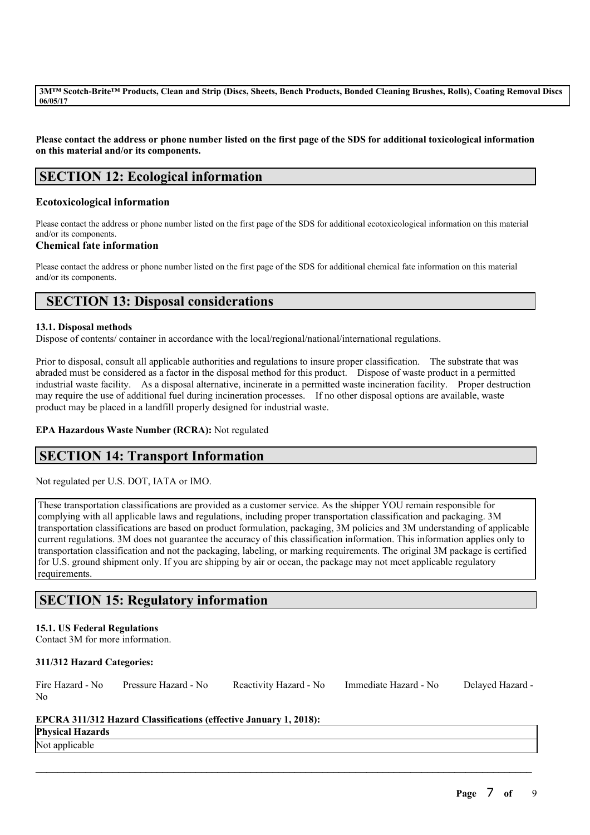Please contact the address or phone number listed on the first page of the SDS for additional toxicological information **on this material and/or its components.**

## **SECTION 12: Ecological information**

## **Ecotoxicological information**

Please contact the address or phone number listed on the first page of the SDS for additional ecotoxicological information on this material and/or its components.

## **Chemical fate information**

Please contact the address or phone number listed on the first page of the SDS for additional chemical fate information on this material and/or its components.

## **SECTION 13: Disposal considerations**

## **13.1. Disposal methods**

Dispose of contents/ container in accordance with the local/regional/national/international regulations.

Prior to disposal, consult all applicable authorities and regulations to insure proper classification. The substrate that was abraded must be considered as a factor in the disposal method for this product. Dispose of waste product in a permitted industrial waste facility. As a disposal alternative, incinerate in a permitted waste incineration facility. Proper destruction may require the use of additional fuel during incineration processes. If no other disposal options are available, waste product may be placed in a landfill properly designed for industrial waste.

## **EPA Hazardous Waste Number (RCRA):** Not regulated

## **SECTION 14: Transport Information**

Not regulated per U.S. DOT, IATA or IMO.

These transportation classifications are provided as a customer service. As the shipper YOU remain responsible for complying with all applicable laws and regulations, including proper transportation classification and packaging. 3M transportation classifications are based on product formulation, packaging, 3M policies and 3M understanding of applicable current regulations. 3M does not guarantee the accuracy of this classification information. This information applies only to transportation classification and not the packaging, labeling, or marking requirements. The original 3M package is certified for U.S. ground shipment only. If you are shipping by air or ocean, the package may not meet applicable regulatory requirements.

## **SECTION 15: Regulatory information**

## **15.1. US Federal Regulations**

Contact 3M for more information.

## **311/312 Hazard Categories:**

|                | Fire Hazard - No Pressure Hazard - No | Reactivity Hazard - No Immediate Hazard - No | Delayed Hazard - |
|----------------|---------------------------------------|----------------------------------------------|------------------|
| N <sub>0</sub> |                                       |                                              |                  |

 $\mathcal{L}_\mathcal{L} = \mathcal{L}_\mathcal{L} = \mathcal{L}_\mathcal{L} = \mathcal{L}_\mathcal{L} = \mathcal{L}_\mathcal{L} = \mathcal{L}_\mathcal{L} = \mathcal{L}_\mathcal{L} = \mathcal{L}_\mathcal{L} = \mathcal{L}_\mathcal{L} = \mathcal{L}_\mathcal{L} = \mathcal{L}_\mathcal{L} = \mathcal{L}_\mathcal{L} = \mathcal{L}_\mathcal{L} = \mathcal{L}_\mathcal{L} = \mathcal{L}_\mathcal{L} = \mathcal{L}_\mathcal{L} = \mathcal{L}_\mathcal{L}$ 

## **EPCRA 311/312 Hazard Classifications (effective January 1, 2018):**

# **Physical Hazards**

Not applicable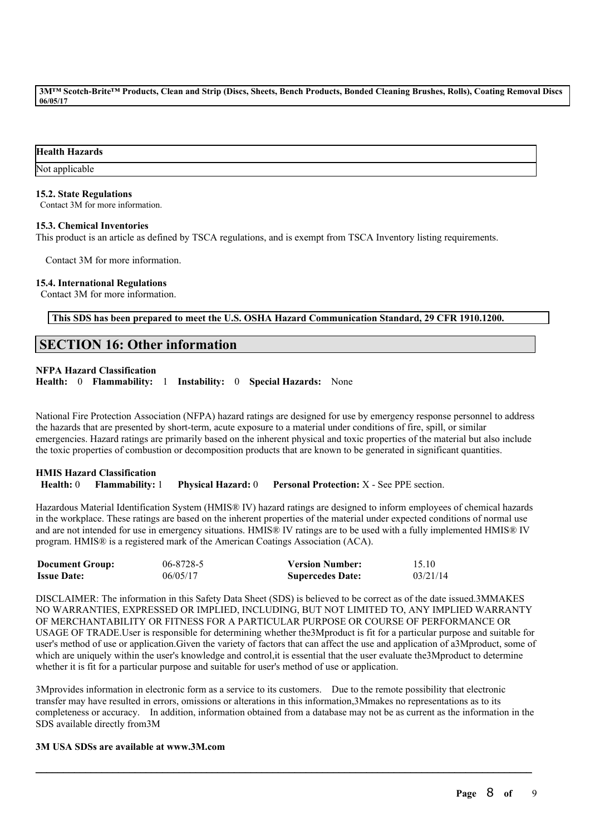### **Health Hazards**

Not applicable

#### **15.2. State Regulations**

Contact 3M for more information.

#### **15.3. Chemical Inventories**

This product is an article as defined by TSCA regulations, and is exempt from TSCA Inventory listing requirements.

Contact 3M for more information.

## **15.4. International Regulations**

Contact 3M for more information.

**This SDS has been prepared to meet the U.S. OSHA Hazard Communication Standard, 29 CFR 1910.1200.**

## **SECTION 16: Other information**

## **NFPA Hazard Classification**

**Health:** 0 **Flammability:** 1 **Instability:** 0 **Special Hazards:** None

National Fire Protection Association (NFPA) hazard ratings are designed for use by emergency response personnel to address the hazards that are presented by short-term, acute exposure to a material under conditions of fire, spill, or similar emergencies. Hazard ratings are primarily based on the inherent physical and toxic properties of the material but also include the toxic properties of combustion or decomposition products that are known to be generated in significant quantities.

## **HMIS Hazard Classification Health:** 0 **Flammability:** 1 **Physical Hazard:** 0 **Personal Protection:** X - See PPE section.

Hazardous Material Identification System (HMIS® IV) hazard ratings are designed to inform employees of chemical hazards in the workplace. These ratings are based on the inherent properties of the material under expected conditions of normal use and are not intended for use in emergency situations. HMIS® IV ratings are to be used with a fully implemented HMIS® IV program. HMIS® is a registered mark of the American Coatings Association (ACA).

| <b>Document Group:</b> | 06-8728-5 | <b>Version Number:</b>  | 15.10    |
|------------------------|-----------|-------------------------|----------|
| <b>Issue Date:</b>     | 06/05/17  | <b>Supercedes Date:</b> | 03/21/14 |

DISCLAIMER: The information in this Safety Data Sheet (SDS) is believed to be correct as of the date issued.3MMAKES NO WARRANTIES, EXPRESSED OR IMPLIED, INCLUDING, BUT NOT LIMITED TO, ANY IMPLIED WARRANTY OF MERCHANTABILITY OR FITNESS FOR A PARTICULAR PURPOSE OR COURSE OF PERFORMANCE OR USAGE OF TRADE.User is responsible for determining whether the3Mproduct is fit for a particular purpose and suitable for user's method of use or application.Given the variety of factors that can affect the use and application of a3Mproduct, some of which are uniquely within the user's knowledge and control, it is essential that the user evaluate the3Mproduct to determine whether it is fit for a particular purpose and suitable for user's method of use or application.

3Mprovides information in electronic form as a service to its customers. Due to the remote possibility that electronic transfer may have resulted in errors, omissions or alterations in this information,3Mmakes no representations as to its completeness or accuracy. In addition, information obtained from a database may not be as current as the information in the SDS available directly from3M

 $\mathcal{L}_\mathcal{L} = \mathcal{L}_\mathcal{L} = \mathcal{L}_\mathcal{L} = \mathcal{L}_\mathcal{L} = \mathcal{L}_\mathcal{L} = \mathcal{L}_\mathcal{L} = \mathcal{L}_\mathcal{L} = \mathcal{L}_\mathcal{L} = \mathcal{L}_\mathcal{L} = \mathcal{L}_\mathcal{L} = \mathcal{L}_\mathcal{L} = \mathcal{L}_\mathcal{L} = \mathcal{L}_\mathcal{L} = \mathcal{L}_\mathcal{L} = \mathcal{L}_\mathcal{L} = \mathcal{L}_\mathcal{L} = \mathcal{L}_\mathcal{L}$ 

## **3M USA SDSs are available at www.3M.com**